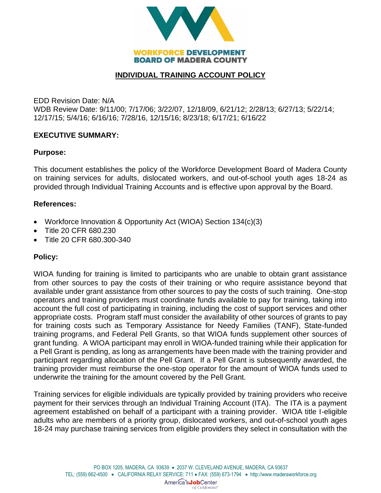

## **INDIVIDUAL TRAINING ACCOUNT POLICY**

EDD Revision Date: N/A WDB Review Date: 9/11/00; 7/17/06; 3/22/07, 12/18/09, 6/21/12; 2/28/13; 6/27/13; 5/22/14; 12/17/15; 5/4/16; 6/16/16; 7/28/16, 12/15/16; 8/23/18; 6/17/21; 6/16/22

### **EXECUTIVE SUMMARY:**

### **Purpose:**

This document establishes the policy of the Workforce Development Board of Madera County on training services for adults, dislocated workers, and out-of-school youth ages 18-24 as provided through Individual Training Accounts and is effective upon approval by the Board.

#### **References:**

- Workforce Innovation & Opportunity Act (WIOA) Section 134(c)(3)
- Title 20 CFR 680.230
- Title 20 CFR 680.300-340

#### **Policy:**

WIOA funding for training is limited to participants who are unable to obtain grant assistance from other sources to pay the costs of their training or who require assistance beyond that available under grant assistance from other sources to pay the costs of such training. One-stop operators and training providers must coordinate funds available to pay for training, taking into account the full cost of participating in training, including the cost of support services and other appropriate costs. Program staff must consider the availability of other sources of grants to pay for training costs such as Temporary Assistance for Needy Families (TANF), State-funded training programs, and Federal Pell Grants, so that WIOA funds supplement other sources of grant funding. A WIOA participant may enroll in WIOA-funded training while their application for a Pell Grant is pending, as long as arrangements have been made with the training provider and participant regarding allocation of the Pell Grant. If a Pell Grant is subsequently awarded, the training provider must reimburse the one-stop operator for the amount of WIOA funds used to underwrite the training for the amount covered by the Pell Grant.

Training services for eligible individuals are typically provided by training providers who receive payment for their services through an Individual Training Account (ITA). The ITA is a payment agreement established on behalf of a participant with a training provider. WIOA title I-eligible adults who are members of a priority group, dislocated workers, and out-of-school youth ages 18-24 may purchase training services from eligible providers they select in consultation with the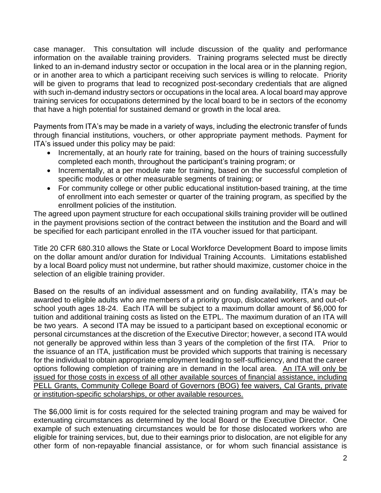case manager. This consultation will include discussion of the quality and performance information on the available training providers. Training programs selected must be directly linked to an in-demand industry sector or occupation in the local area or in the planning region, or in another area to which a participant receiving such services is willing to relocate. Priority will be given to programs that lead to recognized post-secondary credentials that are aligned with such in-demand industry sectors or occupations in the local area. A local board may approve training services for occupations determined by the local board to be in sectors of the economy that have a high potential for sustained demand or growth in the local area.

Payments from ITA's may be made in a variety of ways, including the electronic transfer of funds through financial institutions, vouchers, or other appropriate payment methods. Payment for ITA's issued under this policy may be paid:

- Incrementally, at an hourly rate for training, based on the hours of training successfully completed each month, throughout the participant's training program; or
- Incrementally, at a per module rate for training, based on the successful completion of specific modules or other measurable segments of training; or
- For community college or other public educational institution-based training, at the time of enrollment into each semester or quarter of the training program, as specified by the enrollment policies of the institution.

The agreed upon payment structure for each occupational skills training provider will be outlined in the payment provisions section of the contract between the institution and the Board and will be specified for each participant enrolled in the ITA voucher issued for that participant.

Title 20 CFR 680.310 allows the State or Local Workforce Development Board to impose limits on the dollar amount and/or duration for Individual Training Accounts. Limitations established by a local Board policy must not undermine, but rather should maximize, customer choice in the selection of an eligible training provider.

Based on the results of an individual assessment and on funding availability, ITA's may be awarded to eligible adults who are members of a priority group, dislocated workers, and out-ofschool youth ages 18-24. Each ITA will be subject to a maximum dollar amount of \$6,000 for tuition and additional training costs as listed on the ETPL. The maximum duration of an ITA will be two years. A second ITA may be issued to a participant based on exceptional economic or personal circumstances at the discretion of the Executive Director; however, a second ITA would not generally be approved within less than 3 years of the completion of the first ITA. Prior to the issuance of an ITA, justification must be provided which supports that training is necessary for the individual to obtain appropriate employment leading to self-sufficiency, and that the career options following completion of training are in demand in the local area. An ITA will only be issued for those costs in excess of all other available sources of financial assistance, including PELL Grants, Community College Board of Governors (BOG) fee waivers, Cal Grants, private or institution-specific scholarships, or other available resources.

The \$6,000 limit is for costs required for the selected training program and may be waived for extenuating circumstances as determined by the local Board or the Executive Director. One example of such extenuating circumstances would be for those dislocated workers who are eligible for training services, but, due to their earnings prior to dislocation, are not eligible for any other form of non-repayable financial assistance, or for whom such financial assistance is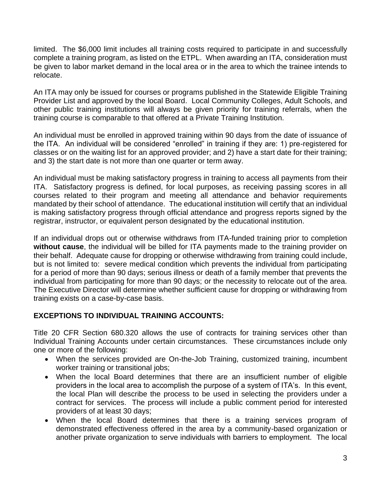limited. The \$6,000 limit includes all training costs required to participate in and successfully complete a training program, as listed on the ETPL. When awarding an ITA, consideration must be given to labor market demand in the local area or in the area to which the trainee intends to relocate.

An ITA may only be issued for courses or programs published in the Statewide Eligible Training Provider List and approved by the local Board. Local Community Colleges, Adult Schools, and other public training institutions will always be given priority for training referrals, when the training course is comparable to that offered at a Private Training Institution.

An individual must be enrolled in approved training within 90 days from the date of issuance of the ITA. An individual will be considered "enrolled" in training if they are: 1) pre-registered for classes or on the waiting list for an approved provider; and 2) have a start date for their training; and 3) the start date is not more than one quarter or term away.

An individual must be making satisfactory progress in training to access all payments from their ITA. Satisfactory progress is defined, for local purposes, as receiving passing scores in all courses related to their program and meeting all attendance and behavior requirements mandated by their school of attendance. The educational institution will certify that an individual is making satisfactory progress through official attendance and progress reports signed by the registrar, instructor, or equivalent person designated by the educational institution.

If an individual drops out or otherwise withdraws from ITA-funded training prior to completion **without cause**, the individual will be billed for ITA payments made to the training provider on their behalf. Adequate cause for dropping or otherwise withdrawing from training could include, but is not limited to: severe medical condition which prevents the individual from participating for a period of more than 90 days; serious illness or death of a family member that prevents the individual from participating for more than 90 days; or the necessity to relocate out of the area. The Executive Director will determine whether sufficient cause for dropping or withdrawing from training exists on a case-by-case basis.

# **EXCEPTIONS TO INDIVIDUAL TRAINING ACCOUNTS:**

Title 20 CFR Section 680.320 allows the use of contracts for training services other than Individual Training Accounts under certain circumstances. These circumstances include only one or more of the following:

- When the services provided are On-the-Job Training, customized training, incumbent worker training or transitional jobs;
- When the local Board determines that there are an insufficient number of eligible providers in the local area to accomplish the purpose of a system of ITA's. In this event, the local Plan will describe the process to be used in selecting the providers under a contract for services. The process will include a public comment period for interested providers of at least 30 days;
- When the local Board determines that there is a training services program of demonstrated effectiveness offered in the area by a community-based organization or another private organization to serve individuals with barriers to employment. The local